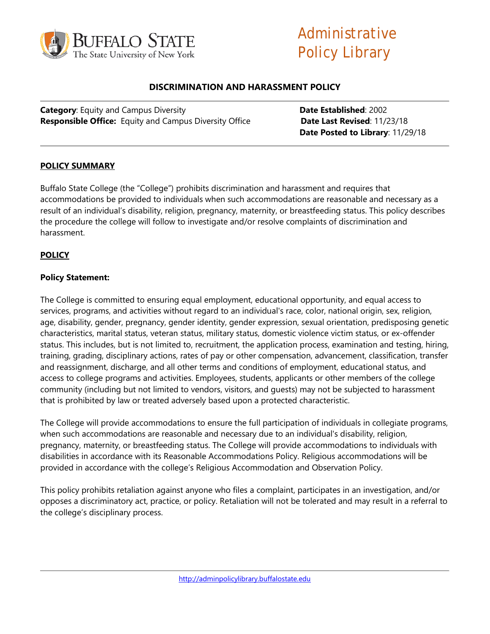

# Administrative Policy Library

## **DISCRIMINATION AND HARASSMENT POLICY**

**Category**: Equity and Campus Diversity **Date Established**: 2002 **Responsible Office:** Equity and Campus Diversity Office **Date Last Revised**: 11/23/18

**Date Posted to Library**: 11/29/18

## **POLICY SUMMARY**

Buffalo State College (the "College") prohibits discrimination and harassment and requires that accommodations be provided to individuals when such accommodations are reasonable and necessary as a result of an individual's disability, religion, pregnancy, maternity, or breastfeeding status. This policy describes the procedure the college will follow to investigate and/or resolve complaints of discrimination and harassment.

#### **POLICY**

#### **Policy Statement:**

The College is committed to ensuring equal employment, educational opportunity, and equal access to services, programs, and activities without regard to an individual's race, color, national origin, sex, religion, age, disability, gender, pregnancy, gender identity, gender expression, sexual orientation, predisposing genetic characteristics, marital status, veteran status, military status, domestic violence victim status, or ex-offender status. This includes, but is not limited to, recruitment, the application process, examination and testing, hiring, training, grading, disciplinary actions, rates of pay or other compensation, advancement, classification, transfer and reassignment, discharge, and all other terms and conditions of employment, educational status, and access to college programs and activities. Employees, students, applicants or other members of the college community (including but not limited to vendors, visitors, and guests) may not be subjected to harassment that is prohibited by law or treated adversely based upon a protected characteristic.

The College will provide accommodations to ensure the full participation of individuals in collegiate programs, when such accommodations are reasonable and necessary due to an individual's disability, religion, pregnancy, maternity, or breastfeeding status. The College will provide accommodations to individuals with disabilities in accordance with its Reasonable Accommodations Policy. Religious accommodations will be provided in accordance with the college's Religious Accommodation and Observation Policy.

This policy prohibits retaliation against anyone who files a complaint, participates in an investigation, and/or opposes a discriminatory act, practice, or policy. Retaliation will not be tolerated and may result in a referral to the college's disciplinary process.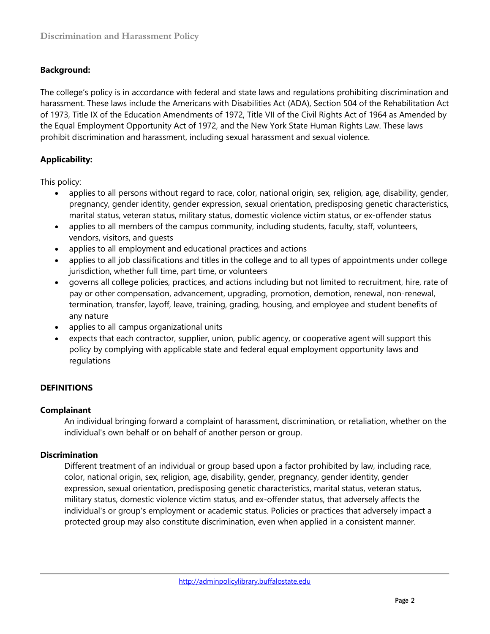# **Background:**

The college's policy is in accordance with federal and state laws and regulations prohibiting discrimination and harassment. These laws include the Americans with Disabilities Act (ADA), Section 504 of the Rehabilitation Act of 1973, Title IX of the Education Amendments of 1972, Title VII of the Civil Rights Act of 1964 as Amended by the Equal Employment Opportunity Act of 1972, and the New York State Human Rights Law. These laws prohibit discrimination and harassment, including sexual harassment and sexual violence.

## **Applicability:**

This policy:

- applies to all persons without regard to race, color, national origin, sex, religion, age, disability, gender, pregnancy, gender identity, gender expression, sexual orientation, predisposing genetic characteristics, marital status, veteran status, military status, domestic violence victim status, or ex-offender status
- applies to all members of the campus community, including students, faculty, staff, volunteers, vendors, visitors, and guests
- applies to all employment and educational practices and actions
- applies to all job classifications and titles in the college and to all types of appointments under college jurisdiction, whether full time, part time, or volunteers
- governs all college policies, practices, and actions including but not limited to recruitment, hire, rate of pay or other compensation, advancement, upgrading, promotion, demotion, renewal, non-renewal, termination, transfer, layoff, leave, training, grading, housing, and employee and student benefits of any nature
- applies to all campus organizational units
- expects that each contractor, supplier, union, public agency, or cooperative agent will support this policy by complying with applicable state and federal equal employment opportunity laws and regulations

# **DEFINITIONS**

## **Complainant**

An individual bringing forward a complaint of harassment, discrimination, or retaliation, whether on the individual's own behalf or on behalf of another person or group.

## **Discrimination**

Different treatment of an individual or group based upon a factor prohibited by law, including race, color, national origin, sex, religion, age, disability, gender, pregnancy, gender identity, gender expression, sexual orientation, predisposing genetic characteristics, marital status, veteran status, military status, domestic violence victim status, and ex-offender status, that adversely affects the individual's or group's employment or academic status. Policies or practices that adversely impact a protected group may also constitute discrimination, even when applied in a consistent manner.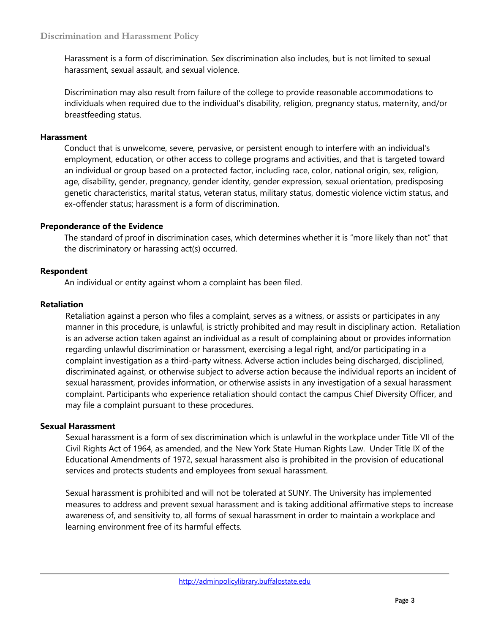Harassment is a form of discrimination. Sex discrimination also includes, but is not limited to sexual harassment, sexual assault, and sexual violence.

Discrimination may also result from failure of the college to provide reasonable accommodations to individuals when required due to the individual's disability, religion, pregnancy status, maternity, and/or breastfeeding status.

#### **Harassment**

Conduct that is unwelcome, severe, pervasive, or persistent enough to interfere with an individual's employment, education, or other access to college programs and activities, and that is targeted toward an individual or group based on a protected factor, including race, color, national origin, sex, religion, age, disability, gender, pregnancy, gender identity, gender expression, sexual orientation, predisposing genetic characteristics, marital status, veteran status, military status, domestic violence victim status, and ex-offender status; harassment is a form of discrimination.

#### **Preponderance of the Evidence**

The standard of proof in discrimination cases, which determines whether it is "more likely than not" that the discriminatory or harassing act(s) occurred.

## **Respondent**

An individual or entity against whom a complaint has been filed.

#### **Retaliation**

Retaliation against a person who files a complaint, serves as a witness, or assists or participates in any manner in this procedure, is unlawful, is strictly prohibited and may result in disciplinary action. Retaliation is an adverse action taken against an individual as a result of complaining about or provides information regarding unlawful discrimination or harassment, exercising a legal right, and/or participating in a complaint investigation as a third-party witness. Adverse action includes being discharged, disciplined, discriminated against, or otherwise subject to adverse action because the individual reports an incident of sexual harassment, provides information, or otherwise assists in any investigation of a sexual harassment complaint. Participants who experience retaliation should contact the campus Chief Diversity Officer, and may file a complaint pursuant to these procedures.

#### **Sexual Harassment**

Sexual harassment is a form of sex discrimination which is unlawful in the workplace under Title VII of the Civil Rights Act of 1964, as amended, and the New York State Human Rights Law. Under Title IX of the Educational Amendments of 1972, sexual harassment also is prohibited in the provision of educational services and protects students and employees from sexual harassment.

Sexual harassment is prohibited and will not be tolerated at SUNY. The University has implemented measures to address and prevent sexual harassment and is taking additional affirmative steps to increase awareness of, and sensitivity to, all forms of sexual harassment in order to maintain a workplace and learning environment free of its harmful effects.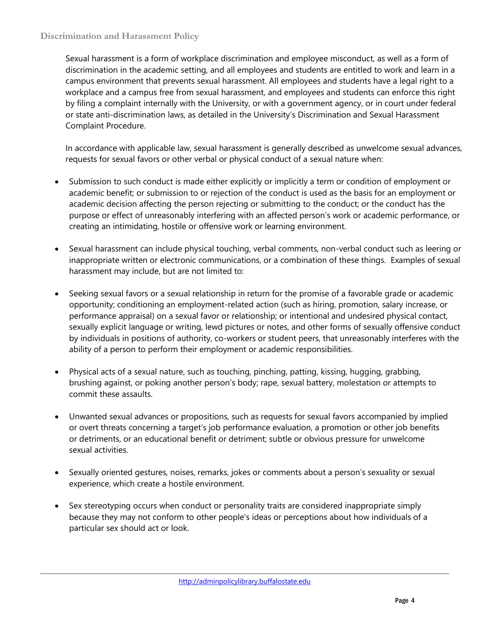Sexual harassment is a form of workplace discrimination and employee misconduct, as well as a form of discrimination in the academic setting, and all employees and students are entitled to work and learn in a campus environment that prevents sexual harassment. All employees and students have a legal right to a workplace and a campus free from sexual harassment, and employees and students can enforce this right by filing a complaint internally with the University, or with a government agency, or in court under federal or state anti-discrimination laws, as detailed in the University's Discrimination and Sexual Harassment Complaint Procedure.

In accordance with applicable law, sexual harassment is generally described as unwelcome sexual advances, requests for sexual favors or other verbal or physical conduct of a sexual nature when:

- Submission to such conduct is made either explicitly or implicitly a term or condition of employment or academic benefit; or submission to or rejection of the conduct is used as the basis for an employment or academic decision affecting the person rejecting or submitting to the conduct; or the conduct has the purpose or effect of unreasonably interfering with an affected person's work or academic performance, or creating an intimidating, hostile or offensive work or learning environment.
- Sexual harassment can include physical touching, verbal comments, non-verbal conduct such as leering or inappropriate written or electronic communications, or a combination of these things. Examples of sexual harassment may include, but are not limited to:
- Seeking sexual favors or a sexual relationship in return for the promise of a favorable grade or academic opportunity; conditioning an employment-related action (such as hiring, promotion, salary increase, or performance appraisal) on a sexual favor or relationship; or intentional and undesired physical contact, sexually explicit language or writing, lewd pictures or notes, and other forms of sexually offensive conduct by individuals in positions of authority, co-workers or student peers, that unreasonably interferes with the ability of a person to perform their employment or academic responsibilities.
- Physical acts of a sexual nature, such as touching, pinching, patting, kissing, hugging, grabbing, brushing against, or poking another person's body; rape, sexual battery, molestation or attempts to commit these assaults.
- Unwanted sexual advances or propositions, such as requests for sexual favors accompanied by implied or overt threats concerning a target's job performance evaluation, a promotion or other job benefits or detriments, or an educational benefit or detriment; subtle or obvious pressure for unwelcome sexual activities.
- Sexually oriented gestures, noises, remarks, jokes or comments about a person's sexuality or sexual experience, which create a hostile environment.
- Sex stereotyping occurs when conduct or personality traits are considered inappropriate simply because they may not conform to other people's ideas or perceptions about how individuals of a particular sex should act or look.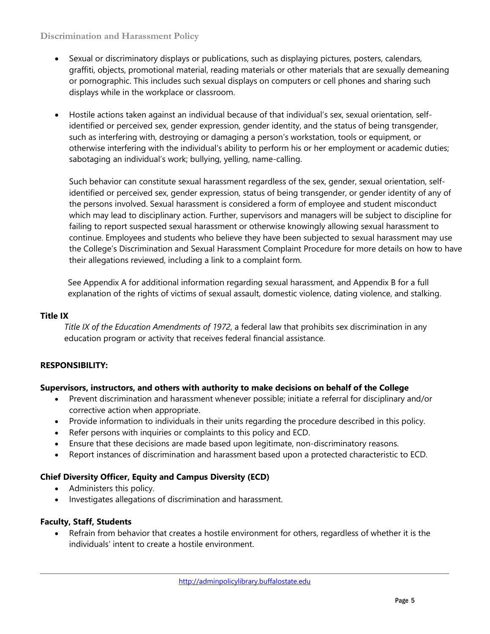## **Discrimination and Harassment Policy**

- Sexual or discriminatory displays or publications, such as displaying pictures, posters, calendars, graffiti, objects, promotional material, reading materials or other materials that are sexually demeaning or pornographic. This includes such sexual displays on computers or cell phones and sharing such displays while in the workplace or classroom.
- Hostile actions taken against an individual because of that individual's sex, sexual orientation, selfidentified or perceived sex, gender expression, gender identity, and the status of being transgender, such as interfering with, destroying or damaging a person's workstation, tools or equipment, or otherwise interfering with the individual's ability to perform his or her employment or academic duties; sabotaging an individual's work; bullying, yelling, name-calling.

Such behavior can constitute sexual harassment regardless of the sex, gender, sexual orientation, selfidentified or perceived sex, gender expression, status of being transgender, or gender identity of any of the persons involved. Sexual harassment is considered a form of employee and student misconduct which may lead to disciplinary action. Further, supervisors and managers will be subject to discipline for failing to report suspected sexual harassment or otherwise knowingly allowing sexual harassment to continue. Employees and students who believe they have been subjected to sexual harassment may use the College's Discrimination and Sexual Harassment Complaint Procedure for more details on how to have their allegations reviewed, including a link to a complaint form.

See Appendix A for additional information regarding sexual harassment, and Appendix B for a full explanation of the rights of victims of sexual assault, domestic violence, dating violence, and stalking.

## **Title IX**

*Title IX of the Education Amendments of 1972*, a federal law that prohibits sex discrimination in any education program or activity that receives federal financial assistance.

## **RESPONSIBILITY:**

## **Supervisors, instructors, and others with authority to make decisions on behalf of the College**

- Prevent discrimination and harassment whenever possible; initiate a referral for disciplinary and/or corrective action when appropriate.
- Provide information to individuals in their units regarding the procedure described in this policy.
- Refer persons with inquiries or complaints to this policy and ECD.
- Ensure that these decisions are made based upon legitimate, non-discriminatory reasons.
- Report instances of discrimination and harassment based upon a protected characteristic to ECD.

## **Chief Diversity Officer, Equity and Campus Diversity (ECD)**

- Administers this policy.
- Investigates allegations of discrimination and harassment.

## **Faculty, Staff, Students**

• Refrain from behavior that creates a hostile environment for others, regardless of whether it is the individuals' intent to create a hostile environment.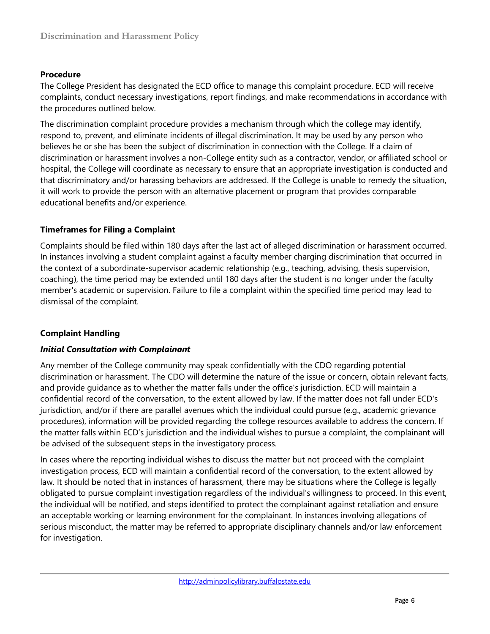## **Procedure**

The College President has designated the ECD office to manage this complaint procedure. ECD will receive complaints, conduct necessary investigations, report findings, and make recommendations in accordance with the procedures outlined below.

The discrimination complaint procedure provides a mechanism through which the college may identify, respond to, prevent, and eliminate incidents of illegal discrimination. It may be used by any person who believes he or she has been the subject of discrimination in connection with the College. If a claim of discrimination or harassment involves a non-College entity such as a contractor, vendor, or affiliated school or hospital, the College will coordinate as necessary to ensure that an appropriate investigation is conducted and that discriminatory and/or harassing behaviors are addressed. If the College is unable to remedy the situation, it will work to provide the person with an alternative placement or program that provides comparable educational benefits and/or experience.

## **Timeframes for Filing a Complaint**

Complaints should be filed within 180 days after the last act of alleged discrimination or harassment occurred. In instances involving a student complaint against a faculty member charging discrimination that occurred in the context of a subordinate-supervisor academic relationship (e.g., teaching, advising, thesis supervision, coaching), the time period may be extended until 180 days after the student is no longer under the faculty member's academic or supervision. Failure to file a complaint within the specified time period may lead to dismissal of the complaint.

## **Complaint Handling**

## *Initial Consultation with Complainant*

Any member of the College community may speak confidentially with the CDO regarding potential discrimination or harassment. The CDO will determine the nature of the issue or concern, obtain relevant facts, and provide guidance as to whether the matter falls under the office's jurisdiction. ECD will maintain a confidential record of the conversation, to the extent allowed by law. If the matter does not fall under ECD's jurisdiction, and/or if there are parallel avenues which the individual could pursue (e.g., academic grievance procedures), information will be provided regarding the college resources available to address the concern. If the matter falls within ECD's jurisdiction and the individual wishes to pursue a complaint, the complainant will be advised of the subsequent steps in the investigatory process.

In cases where the reporting individual wishes to discuss the matter but not proceed with the complaint investigation process, ECD will maintain a confidential record of the conversation, to the extent allowed by law. It should be noted that in instances of harassment, there may be situations where the College is legally obligated to pursue complaint investigation regardless of the individual's willingness to proceed. In this event, the individual will be notified, and steps identified to protect the complainant against retaliation and ensure an acceptable working or learning environment for the complainant. In instances involving allegations of serious misconduct, the matter may be referred to appropriate disciplinary channels and/or law enforcement for investigation.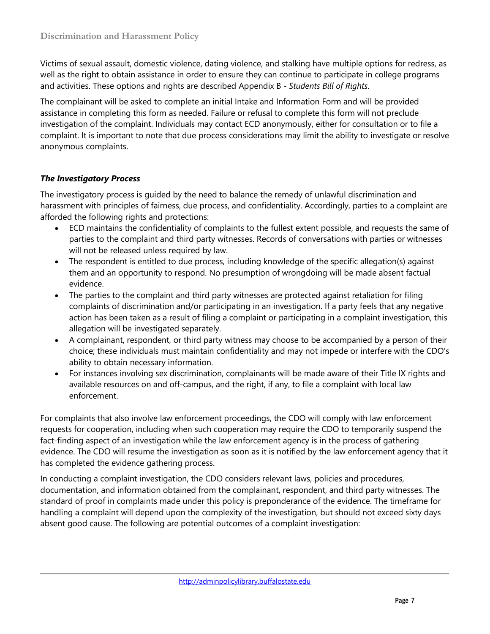Victims of sexual assault, domestic violence, dating violence, and stalking have multiple options for redress, as well as the right to obtain assistance in order to ensure they can continue to participate in college programs and activities. These options and rights are described Appendix B - *Students Bill of Rights*.

The complainant will be asked to complete an initial Intake and Information Form and will be provided assistance in completing this form as needed. Failure or refusal to complete this form will not preclude investigation of the complaint. Individuals may contact ECD anonymously, either for consultation or to file a complaint. It is important to note that due process considerations may limit the ability to investigate or resolve anonymous complaints.

# *The Investigatory Process*

The investigatory process is guided by the need to balance the remedy of unlawful discrimination and harassment with principles of fairness, due process, and confidentiality. Accordingly, parties to a complaint are afforded the following rights and protections:

- ECD maintains the confidentiality of complaints to the fullest extent possible, and requests the same of parties to the complaint and third party witnesses. Records of conversations with parties or witnesses will not be released unless required by law.
- The respondent is entitled to due process, including knowledge of the specific allegation(s) against them and an opportunity to respond. No presumption of wrongdoing will be made absent factual evidence.
- The parties to the complaint and third party witnesses are protected against retaliation for filing complaints of discrimination and/or participating in an investigation. If a party feels that any negative action has been taken as a result of filing a complaint or participating in a complaint investigation, this allegation will be investigated separately.
- A complainant, respondent, or third party witness may choose to be accompanied by a person of their choice; these individuals must maintain confidentiality and may not impede or interfere with the CDO's ability to obtain necessary information.
- For instances involving sex discrimination, complainants will be made aware of their Title IX rights and available resources on and off-campus, and the right, if any, to file a complaint with local law enforcement.

For complaints that also involve law enforcement proceedings, the CDO will comply with law enforcement requests for cooperation, including when such cooperation may require the CDO to temporarily suspend the fact-finding aspect of an investigation while the law enforcement agency is in the process of gathering evidence. The CDO will resume the investigation as soon as it is notified by the law enforcement agency that it has completed the evidence gathering process.

In conducting a complaint investigation, the CDO considers relevant laws, policies and procedures, documentation, and information obtained from the complainant, respondent, and third party witnesses. The standard of proof in complaints made under this policy is preponderance of the evidence. The timeframe for handling a complaint will depend upon the complexity of the investigation, but should not exceed sixty days absent good cause. The following are potential outcomes of a complaint investigation: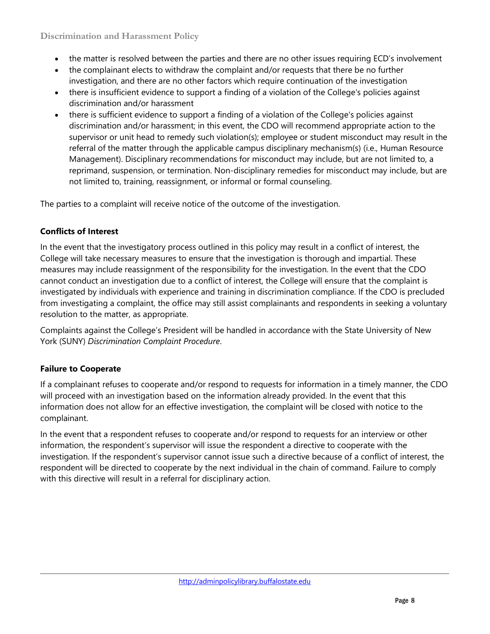**Discrimination and Harassment Policy**

- the matter is resolved between the parties and there are no other issues requiring ECD's involvement
- the complainant elects to withdraw the complaint and/or requests that there be no further investigation, and there are no other factors which require continuation of the investigation
- there is insufficient evidence to support a finding of a violation of the College's policies against discrimination and/or harassment
- there is sufficient evidence to support a finding of a violation of the College's policies against discrimination and/or harassment; in this event, the CDO will recommend appropriate action to the supervisor or unit head to remedy such violation(s); employee or student misconduct may result in the referral of the matter through the applicable campus disciplinary mechanism(s) (i.e., Human Resource Management). Disciplinary recommendations for misconduct may include, but are not limited to, a reprimand, suspension, or termination. Non-disciplinary remedies for misconduct may include, but are not limited to, training, reassignment, or informal or formal counseling.

The parties to a complaint will receive notice of the outcome of the investigation.

# **Conflicts of Interest**

In the event that the investigatory process outlined in this policy may result in a conflict of interest, the College will take necessary measures to ensure that the investigation is thorough and impartial. These measures may include reassignment of the responsibility for the investigation. In the event that the CDO cannot conduct an investigation due to a conflict of interest, the College will ensure that the complaint is investigated by individuals with experience and training in discrimination compliance. If the CDO is precluded from investigating a complaint, the office may still assist complainants and respondents in seeking a voluntary resolution to the matter, as appropriate.

Complaints against the College's President will be handled in accordance with the State University of New York (SUNY) *Discrimination Complaint Procedure*.

# **Failure to Cooperate**

If a complainant refuses to cooperate and/or respond to requests for information in a timely manner, the CDO will proceed with an investigation based on the information already provided. In the event that this information does not allow for an effective investigation, the complaint will be closed with notice to the complainant.

In the event that a respondent refuses to cooperate and/or respond to requests for an interview or other information, the respondent's supervisor will issue the respondent a directive to cooperate with the investigation. If the respondent's supervisor cannot issue such a directive because of a conflict of interest, the respondent will be directed to cooperate by the next individual in the chain of command. Failure to comply with this directive will result in a referral for disciplinary action.